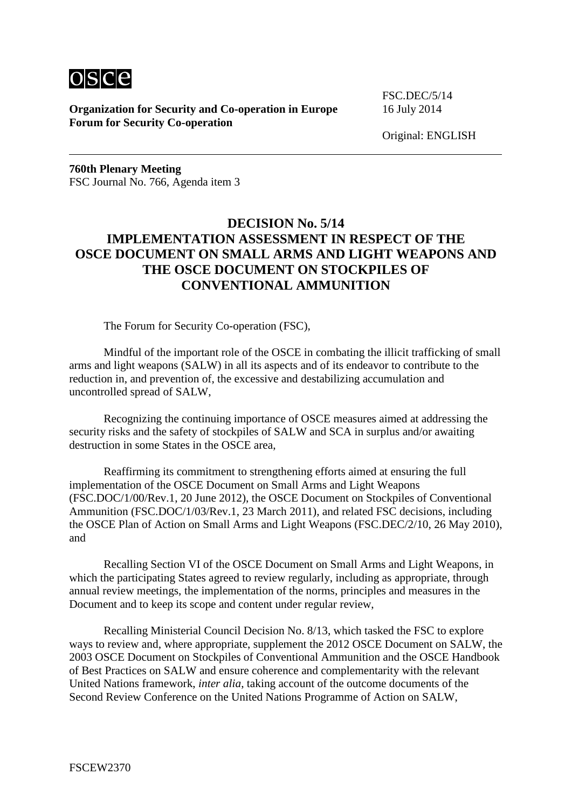

**Organization for Security and Co-operation in Europe** 16 July 2014 **Forum for Security Co-operation**

FSC.DEC/5/14

Original: ENGLISH

**760th Plenary Meeting** FSC Journal No. 766, Agenda item 3

## **DECISION No. 5/14 IMPLEMENTATION ASSESSMENT IN RESPECT OF THE OSCE DOCUMENT ON SMALL ARMS AND LIGHT WEAPONS AND THE OSCE DOCUMENT ON STOCKPILES OF CONVENTIONAL AMMUNITION**

The Forum for Security Co-operation (FSC),

Mindful of the important role of the OSCE in combating the illicit trafficking of small arms and light weapons (SALW) in all its aspects and of its endeavor to contribute to the reduction in, and prevention of, the excessive and destabilizing accumulation and uncontrolled spread of SALW,

Recognizing the continuing importance of OSCE measures aimed at addressing the security risks and the safety of stockpiles of SALW and SCA in surplus and/or awaiting destruction in some States in the OSCE area,

Reaffirming its commitment to strengthening efforts aimed at ensuring the full implementation of the OSCE Document on Small Arms and Light Weapons (FSC.DOC/1/00/Rev.1, 20 June 2012), the OSCE Document on Stockpiles of Conventional Ammunition (FSC.DOC/1/03/Rev.1, 23 March 2011), and related FSC decisions, including the OSCE Plan of Action on Small Arms and Light Weapons (FSC.DEC/2/10, 26 May 2010), and

Recalling Section VI of the OSCE Document on Small Arms and Light Weapons, in which the participating States agreed to review regularly, including as appropriate, through annual review meetings, the implementation of the norms, principles and measures in the Document and to keep its scope and content under regular review,

Recalling Ministerial Council Decision No. 8/13, which tasked the FSC to explore ways to review and, where appropriate, supplement the 2012 OSCE Document on SALW, the 2003 OSCE Document on Stockpiles of Conventional Ammunition and the OSCE Handbook of Best Practices on SALW and ensure coherence and complementarity with the relevant United Nations framework, *inter alia*, taking account of the outcome documents of the Second Review Conference on the United Nations Programme of Action on SALW,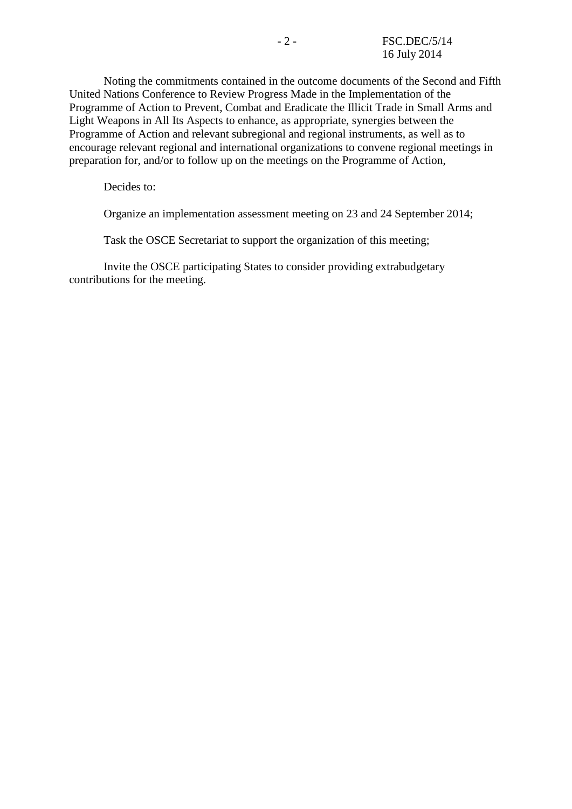Noting the commitments contained in the outcome documents of the Second and Fifth United Nations Conference to Review Progress Made in the Implementation of the Programme of Action to Prevent, Combat and Eradicate the Illicit Trade in Small Arms and Light Weapons in All Its Aspects to enhance, as appropriate, synergies between the Programme of Action and relevant subregional and regional instruments, as well as to encourage relevant regional and international organizations to convene regional meetings in preparation for, and/or to follow up on the meetings on the Programme of Action,

Decides to:

Organize an implementation assessment meeting on 23 and 24 September 2014;

Task the OSCE Secretariat to support the organization of this meeting;

Invite the OSCE participating States to consider providing extrabudgetary contributions for the meeting.